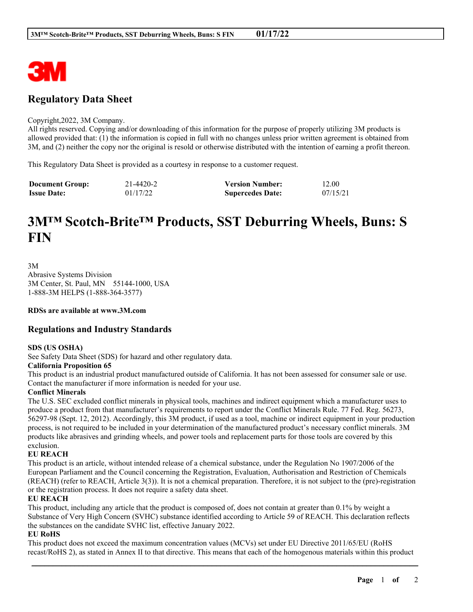

# **Regulatory Data Sheet**

#### Copyright,2022, 3M Company.

All rights reserved. Copying and/or downloading of this information for the purpose of properly utilizing 3M products is allowed provided that: (1) the information is copied in full with no changes unless prior written agreement is obtained from 3M, and (2) neither the copy nor the original is resold or otherwise distributed with the intention of earning a profit thereon.

This Regulatory Data Sheet is provided as a courtesy in response to a customer request.

| <b>Document Group:</b> | 21-4420-2 | <b>Version Number:</b>  | 12.00    |
|------------------------|-----------|-------------------------|----------|
| <b>Issue Date:</b>     | 01/17/22  | <b>Supercedes Date:</b> | 07/15/21 |

# **3M™ Scotch-Brite™ Products, SST Deburring Wheels, Buns: S FIN**

3M Abrasive Systems Division 3M Center, St. Paul, MN 55144-1000, USA 1-888-3M HELPS (1-888-364-3577)

**RDSs are available at www.3M.com**

# **Regulations and Industry Standards**

## **SDS (US OSHA)**

See Safety Data Sheet (SDS) for hazard and other regulatory data.

#### **California Proposition 65**

This product is an industrial product manufactured outside of California. It has not been assessed for consumer sale or use. Contact the manufacturer if more information is needed for your use.

## **Conflict Minerals**

The U.S. SEC excluded conflict minerals in physical tools, machines and indirect equipment which a manufacturer uses to produce a product from that manufacturer's requirements to report under the Conflict Minerals Rule. 77 Fed. Reg. 56273, 56297-98 (Sept. 12, 2012). Accordingly, this 3M product, if used as a tool, machine or indirect equipment in your production process, is not required to be included in your determination of the manufactured product's necessary conflict minerals. 3M products like abrasives and grinding wheels, and power tools and replacement parts for those tools are covered by this exclusion.

## **EU REACH**

This product is an article, without intended release of a chemical substance, under the Regulation No 1907/2006 of the European Parliament and the Council concerning the Registration, Evaluation, Authorisation and Restriction of Chemicals (REACH) (refer to REACH, Article 3(3)). It is not a chemical preparation. Therefore, it is not subject to the (pre)-registration or the registration process. It does not require a safety data sheet.

## **EU REACH**

This product, including any article that the product is composed of, does not contain at greater than 0.1% by weight a Substance of Very High Concern (SVHC) substance identified according to Article 59 of REACH. This declaration reflects the substances on the candidate SVHC list, effective January 2022.

## **EU RoHS**

This product does not exceed the maximum concentration values (MCVs) set under EU Directive 2011/65/EU (RoHS recast/RoHS 2), as stated in Annex II to that directive. This means that each of the homogenous materials within this product

\_\_\_\_\_\_\_\_\_\_\_\_\_\_\_\_\_\_\_\_\_\_\_\_\_\_\_\_\_\_\_\_\_\_\_\_\_\_\_\_\_\_\_\_\_\_\_\_\_\_\_\_\_\_\_\_\_\_\_\_\_\_\_\_\_\_\_\_\_\_\_\_\_\_\_\_\_\_\_\_\_\_\_\_\_\_\_\_\_\_